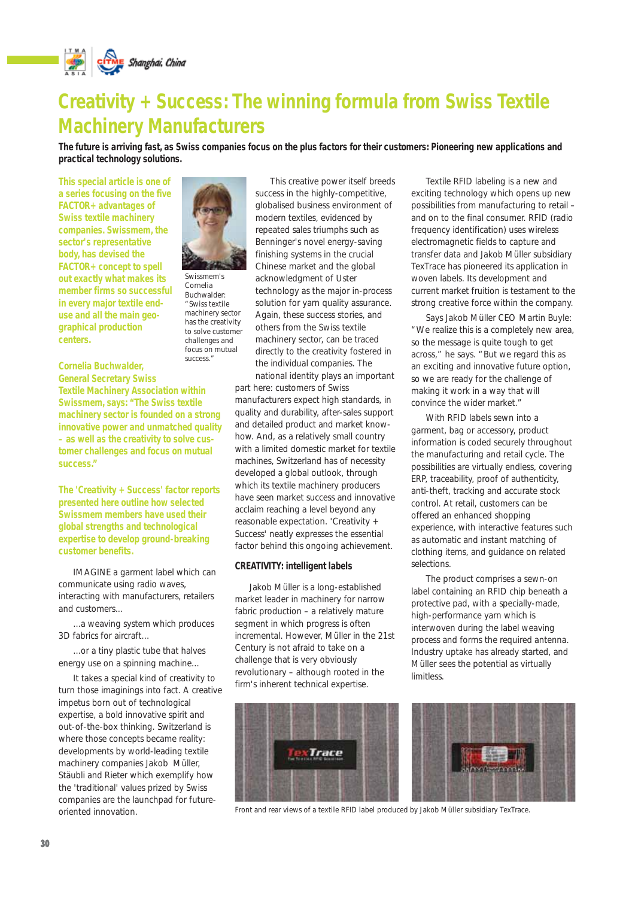

## **Creativity + Success: The winning formula from Swiss Textile Machinery Manufacturers**

**The future is arriving fast, as Swiss companies focus on the plus factors for their customers: Pioneering new applications and practical technology solutions.**

**This special article is one of a series focusing on the five FACTOR+ advantages of Swiss textile machinery companies. Swissmem, the sector's representative body, has devised the FACTOR+ concept to spell out exactly what makes its member firms so successful in every major textile enduse and all the main geographical production centers.** 



*Swissmem's Cornelia Buchwalder: "Swiss textile machinery sector has the creativity to solve customer challenges and focus on mutual success."*

This creative power itself breeds success in the highly-competitive, globalised business environment of modern textiles, evidenced by repeated sales triumphs such as Benninger's novel energy-saving finishing systems in the crucial Chinese market and the global acknowledgment of Uster technology as the major in-process solution for yarn quality assurance. Again, these success stories, and others from the Swiss textile machinery sector, can be traced directly to the creativity fostered in the individual companies. The

national identity plays an important part here: customers of Swiss manufacturers expect high standards, in quality and durability, after-sales support and detailed product and market knowhow. And, as a relatively small country with a limited domestic market for textile machines, Switzerland has of necessity developed a global outlook, through which its textile machinery producers have seen market success and innovative acclaim reaching a level beyond any reasonable expectation. 'Creativity + Success' neatly expresses the essential factor behind this ongoing achievement.

#### **CREATIVITY: intelligent labels**

Jakob Müller is a long-established market leader in machinery for narrow fabric production – a relatively mature segment in which progress is often incremental. However, Müller in the 21st Century is not afraid to take on a challenge that is very obviously revolutionary – although rooted in the firm's inherent technical expertise.



Textile RFID labeling is a new and exciting technology which opens up new possibilities from manufacturing to retail – and on to the final consumer. RFID (radio frequency identification) uses wireless electromagnetic fields to capture and transfer data and Jakob Müller subsidiary TexTrace has pioneered its application in woven labels. Its development and current market fruition is testament to the strong creative force within the company.

Says Jakob Müller CEO Martin Buyle: "We realize this is a completely new area, so the message is quite tough to get across," he says. "But we regard this as an exciting and innovative future option, so we are ready for the challenge of making it work in a way that will convince the wider market."

With RFID labels sewn into a garment, bag or accessory, product information is coded securely throughout the manufacturing and retail cycle. The possibilities are virtually endless, covering ERP, traceability, proof of authenticity, anti-theft, tracking and accurate stock control. At retail, customers can be offered an enhanced shopping experience, with interactive features such as automatic and instant matching of clothing items, and guidance on related selections.

The product comprises a sewn-on label containing an RFID chip beneath a protective pad, with a specially-made, high-performance yarn which is interwoven during the label weaving process and forms the required antenna. Industry uptake has already started, and Müller sees the potential as virtually limitless.



*Front and rear views of a textile RFID label produced by Jakob Müller subsidiary TexTrace.*

**Cornelia Buchwalder,**

**General Secretary Swiss Textile Machinery Association within Swissmem, says: "The Swiss textile machinery sector is founded on a strong innovative power and unmatched quality – as well as the creativity to solve customer challenges and focus on mutual success."**

**The 'Creativity + Success' factor reports presented here outline how selected Swissmem members have used their global strengths and technological expertise to develop ground-breaking customer benefits.**

IMAGINE a garment label which can communicate using radio waves, interacting with manufacturers, retailers and customers...

...a weaving system which produces 3D fabrics for aircraft...

...or a tiny plastic tube that halves energy use on a spinning machine...

It takes a special kind of creativity to turn those imaginings into fact. A creative impetus born out of technological expertise, a bold innovative spirit and out-of-the-box thinking. Switzerland is where those concepts became reality: developments by world-leading textile machinery companies Jakob Müller, Stäubli and Rieter which exemplify how the 'traditional' values prized by Swiss companies are the launchpad for futureoriented innovation.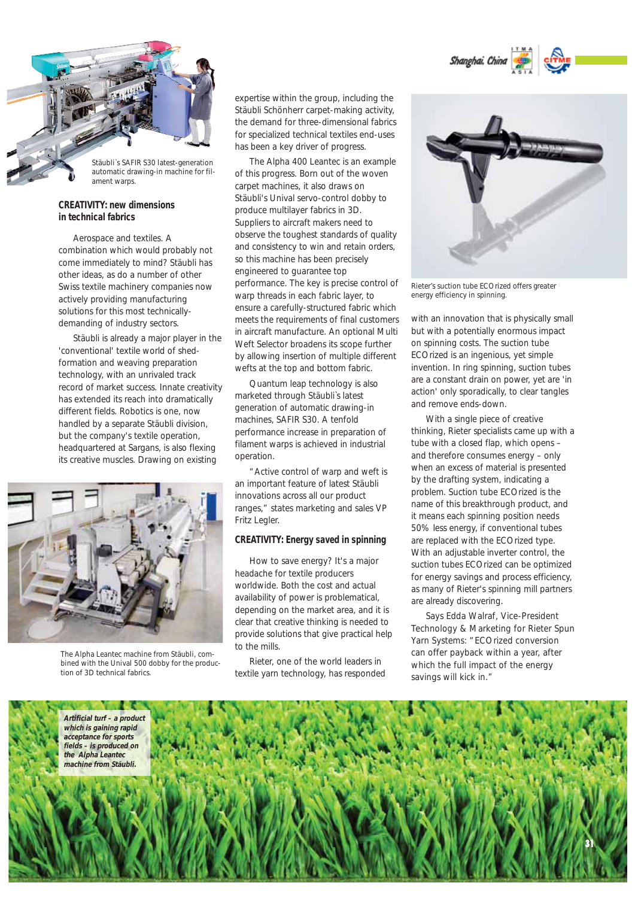



# *ament warps.*

## **CREATIVITY: new dimensions in technical fabrics**

Aerospace and textiles. A combination which would probably not come immediately to mind? Stäubli has other ideas, as do a number of other Swiss textile machinery companies now actively providing manufacturing solutions for this most technicallydemanding of industry sectors.

Stäubli is already a major player in the 'conventional' textile world of shedformation and weaving preparation technology, with an unrivaled track record of market success. Innate creativity has extended its reach into dramatically different fields. Robotics is one, now handled by a separate Stäubli division, but the company's textile operation, headquartered at Sargans, is also flexing its creative muscles. Drawing on existing



*The Alpha Leantec machine from Stäubli, combined with the Unival 500 dobby for the production of 3D technical fabrics.*

expertise within the group, including the Stäubli Schönherr carpet-making activity, the demand for three-dimensional fabrics for specialized technical textiles end-uses has been a key driver of progress.

The Alpha 400 Leantec is an example of this progress. Born out of the woven carpet machines, it also draws on Stäubli's Unival servo-control dobby to produce multilayer fabrics in 3D. Suppliers to aircraft makers need to observe the toughest standards of quality and consistency to win and retain orders, so this machine has been precisely engineered to guarantee top performance. The key is precise control of warp threads in each fabric layer, to ensure a carefully-structured fabric which meets the requirements of final customers in aircraft manufacture. An optional Multi Weft Selector broadens its scope further by allowing insertion of multiple different wefts at the top and bottom fabric.

Quantum leap technology is also marketed through Stäubli`s latest generation of automatic drawing-in machines, SAFIR S30. A tenfold performance increase in preparation of filament warps is achieved in industrial operation.

"Active control of warp and weft is an important feature of latest Stäubli innovations across all our product ranges," states marketing and sales VP Fritz Legler.

#### **CREATIVITY: Energy saved in spinning**

How to save energy? It's a major headache for textile producers worldwide. Both the cost and actual availability of power is problematical, depending on the market area, and it is clear that creative thinking is needed to provide solutions that give practical help to the mills.

Rieter, one of the world leaders in textile yarn technology, has responded



*Rieter's suction tube ECOrized offers greater energy efficiency in spinning.*

with an innovation that is physically small but with a potentially enormous impact on spinning costs. The suction tube ECOrized is an ingenious, yet simple invention. In ring spinning, suction tubes are a constant drain on power, yet are 'in action' only sporadically, to clear tangles and remove ends-down.

With a single piece of creative thinking, Rieter specialists came up with a tube with a closed flap, which opens – and therefore consumes energy – only when an excess of material is presented by the drafting system, indicating a problem. Suction tube ECOrized is the name of this breakthrough product, and it means each spinning position needs 50% less energy, if conventional tubes are replaced with the ECOrized type. With an adjustable inverter control, the suction tubes ECOrized can be optimized for energy savings and process efficiency, as many of Rieter's spinning mill partners are already discovering.

Says Edda Walraf, Vice-President Technology & Marketing for Rieter Spun Yarn Systems: "ECOrized conversion can offer payback within a year, after which the full impact of the energy savings will kick in."